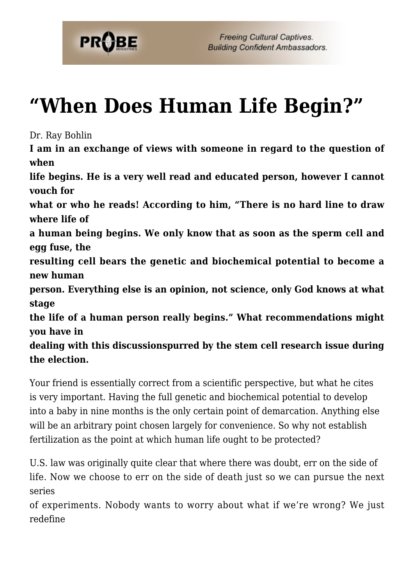

## **["When Does Human Life Begin?"](https://probe.org/when-does-human-life-begin/)**

Dr. Ray Bohlin

**I am in an exchange of views with someone in regard to the question of when life begins. He is a very well read and educated person, however I cannot**

**vouch for what or who he reads! According to him, "There is no hard line to draw**

**where life of**

**a human being begins. We only know that as soon as the sperm cell and egg fuse, the**

**resulting cell bears the genetic and biochemical potential to become a new human**

**person. Everything else is an opinion, not science, only God knows at what stage**

**the life of a human person really begins." What recommendations might you have in**

**dealing with this discussionspurred by the stem cell research issue during the election.**

Your friend is essentially correct from a scientific perspective, but what he cites is very important. Having the full genetic and biochemical potential to develop into a baby in nine months is the only certain point of demarcation. Anything else will be an arbitrary point chosen largely for convenience. So why not establish fertilization as the point at which human life ought to be protected?

U.S. law was originally quite clear that where there was doubt, err on the side of life. Now we choose to err on the side of death just so we can pursue the next series

of experiments. Nobody wants to worry about what if we're wrong? We just redefine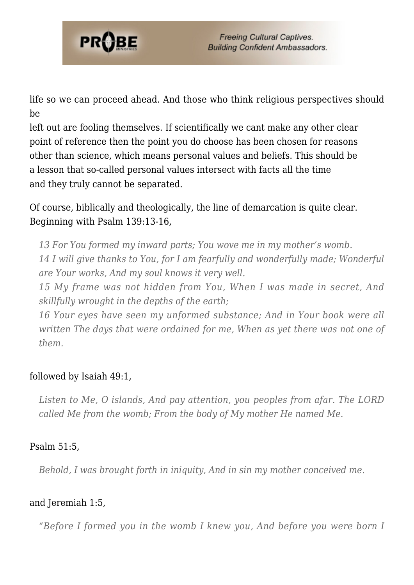

life so we can proceed ahead. And those who think religious perspectives should be

left out are fooling themselves. If scientifically we cant make any other clear point of reference then the point you do choose has been chosen for reasons other than science, which means personal values and beliefs. This should be a lesson that so-called personal values intersect with facts all the time and they truly cannot be separated.

Of course, biblically and theologically, the line of demarcation is quite clear. Beginning with Psalm 139:13-16,

*13 For You formed my inward parts; You wove me in my mother's womb. 14 I will give thanks to You, for I am fearfully and wonderfully made; Wonderful are Your works, And my soul knows it very well.*

*15 My frame was not hidden from You, When I was made in secret, And skillfully wrought in the depths of the earth;*

*16 Your eyes have seen my unformed substance; And in Your book were all written The days that were ordained for me, When as yet there was not one of them.*

## followed by Isaiah 49:1,

*Listen to Me, O islands, And pay attention, you peoples from afar. The LORD called Me from the womb; From the body of My mother He named Me.*

## Psalm 51:5,

*Behold, I was brought forth in iniquity, And in sin my mother conceived me.*

## and Jeremiah 1:5,

*"Before I formed you in the womb I knew you, And before you were born I*